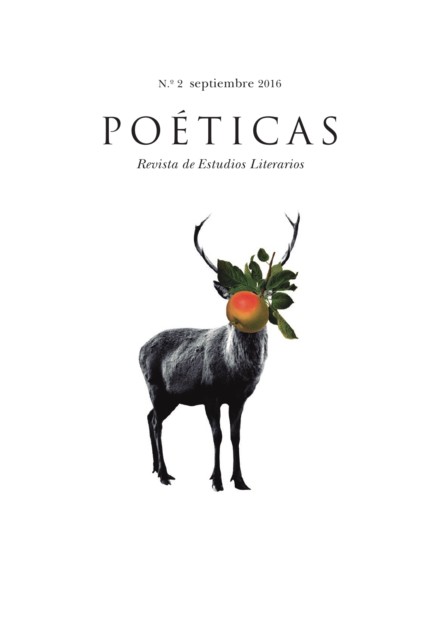N.º 2 septiembre 2016

# POÉTICAS

*Revista de Estudios Literarios*

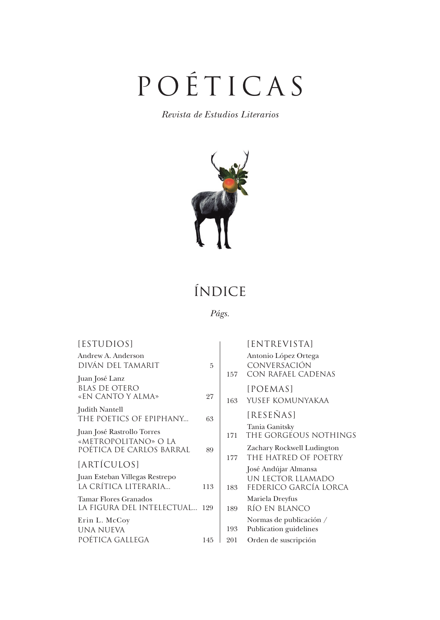# POÉTICAS

*Revista de Estudios Literarios*



## índice

*Págs.*

| [ESTUDIOS]                                                            |     |            | [ENTREVISTA]                                                       |
|-----------------------------------------------------------------------|-----|------------|--------------------------------------------------------------------|
| Andrew A. Anderson<br>DIVÁN DEL TAMARIT                               | 5   |            | Antonio López Ortega<br><b>CONVERSACIÓN</b>                        |
| Juan José Lanz<br><b>BLAS DE OTERO</b><br>«EN CANTO Y ALMA»           | 27  | 157<br>163 | CON RAFAEL CADENAS<br>[POEMAS]<br>YUSEF KOMUNYAKAA                 |
| Judith Nantell<br>THE POETICS OF EPIPHANY                             | 63  |            | [RESEÑAS]                                                          |
| Juan José Rastrollo Torres<br>«METROPOLITANO» O LA                    |     | 171        | Tania Ganitsky<br>THE GORGEOUS NOTHINGS                            |
| POÉTICA DE CARLOS BARRAL                                              | 89  | 177        | Zachary Rockwell Ludington<br>THE HATRED OF POETRY                 |
| [ARTÍCULOS]<br>Juan Esteban Villegas Restrepo<br>LA CRÍTICA LITERARIA | 113 | 183        | José Andújar Almansa<br>UN LECTOR LLAMADO<br>FEDERICO GARCÍA LORCA |
| Tamar Flores Granados<br>LA FIGURA DEL INTELECTUAL 129                |     | 189        | Mariela Dreyfus<br>RÍO EN BLANCO                                   |
| Erin L. McCoy<br>una nueva                                            |     | 193        | Normas de publicación /<br>Publication guidelines                  |
| POÉTICA GALLEGA                                                       | 145 | 201        | Orden de suscripción                                               |
|                                                                       |     |            |                                                                    |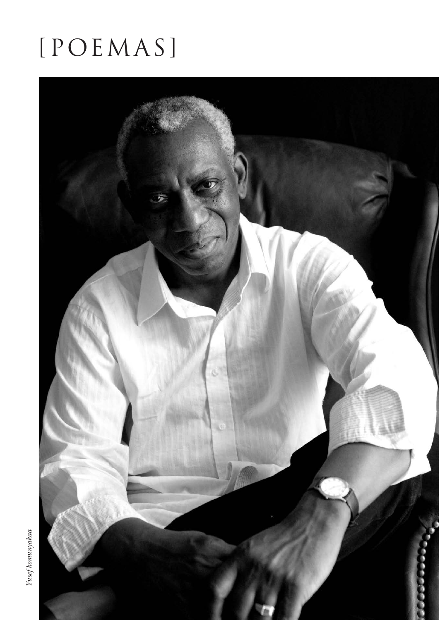# [POEMAS]



 $\label{eq:2} Yusef komunyakaa$ *Yusef komunyakaa*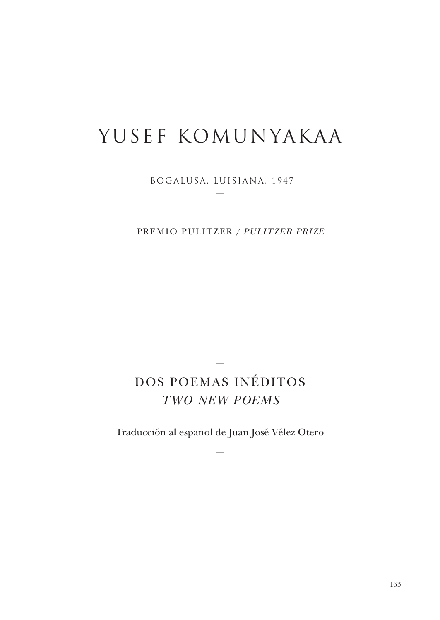# YUSEF KOMUNYAKAA

— BOGALUSA, LUISIANA, 1947 —

PREMIO PULITZER / *PULITZER PRIZE* 

### DOS POEMAS INÉDITOS *TWO NEW POEMS*

—

Traducción al español de Juan José Vélez Otero

—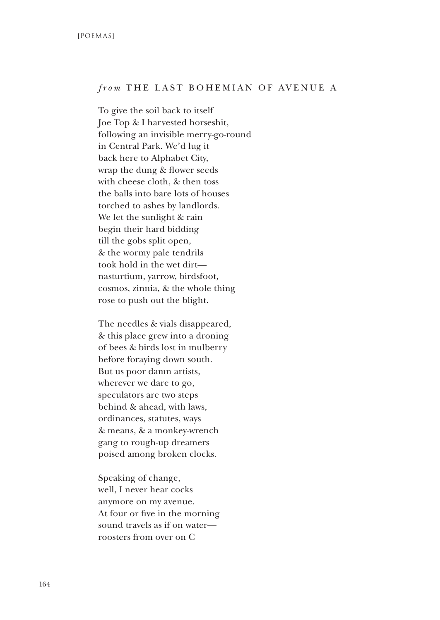#### *from* THE LAST BOHEMIAN OF AVENUE A

To give the soil back to itself Joe Top & I harvested horseshit, following an invisible merry-go-round in Central Park. We'd lug it back here to Alphabet City, wrap the dung & flower seeds with cheese cloth, & then toss the balls into bare lots of houses torched to ashes by landlords. We let the sunlight & rain begin their hard bidding till the gobs split open, & the wormy pale tendrils took hold in the wet dirt nasturtium, yarrow, birdsfoot, cosmos, zinnia, & the whole thing rose to push out the blight.

The needles & vials disappeared, & this place grew into a droning of bees & birds lost in mulberry before foraying down south. But us poor damn artists, wherever we dare to go, speculators are two steps behind & ahead, with laws, ordinances, statutes, ways & means, & a monkey-wrench gang to rough-up dreamers poised among broken clocks.

Speaking of change, well, I never hear cocks anymore on my avenue. At four or five in the morning sound travels as if on water roosters from over on C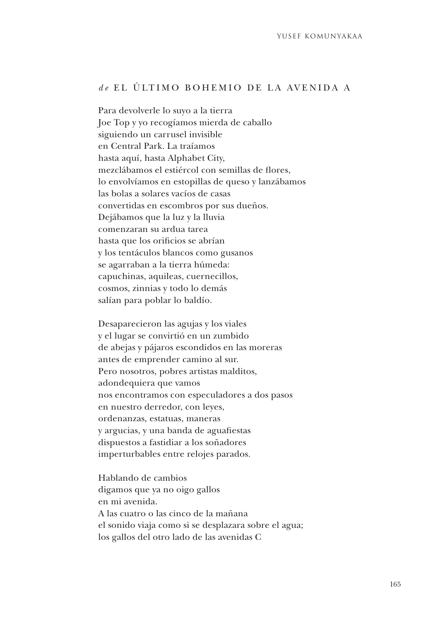#### *d e* EL ÚLTIMO BOHEMIO DE LA AVENIDA A

Para devolverle lo suyo a la tierra Joe Top y yo recogíamos mierda de caballo siguiendo un carrusel invisible en Central Park. La traíamos hasta aquí, hasta Alphabet City, mezclábamos el estiércol con semillas de flores, lo envolvíamos en estopillas de queso y lanzábamos las bolas a solares vacíos de casas convertidas en escombros por sus dueños. Dejábamos que la luz y la lluvia comenzaran su ardua tarea hasta que los orificios se abrían y los tentáculos blancos como gusanos se agarraban a la tierra húmeda: capuchinas, aquileas, cuernecillos, cosmos, zinnias y todo lo demás salían para poblar lo baldío.

Desaparecieron las agujas y los viales y el lugar se convirtió en un zumbido de abejas y pájaros escondidos en las moreras antes de emprender camino al sur. Pero nosotros, pobres artistas malditos, adondequiera que vamos nos encontramos con especuladores a dos pasos en nuestro derredor, con leyes, ordenanzas, estatuas, maneras y argucias, y una banda de aguafiestas dispuestos a fastidiar a los soñadores imperturbables entre relojes parados.

Hablando de cambios digamos que ya no oigo gallos en mi avenida. A las cuatro o las cinco de la mañana el sonido viaja como si se desplazara sobre el agua; los gallos del otro lado de las avenidas C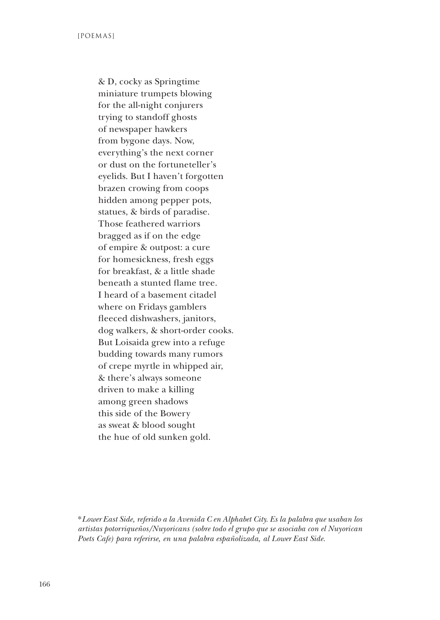& D, cocky as Springtime miniature trumpets blowing for the all-night conjurers trying to standoff ghosts of newspaper hawkers from bygone days. Now, everything's the next corner or dust on the fortuneteller's eyelids. But I haven't forgotten brazen crowing from coops hidden among pepper pots, statues, & birds of paradise. Those feathered warriors bragged as if on the edge of empire & outpost: a cure for homesickness, fresh eggs for breakfast, & a little shade beneath a stunted flame tree. I heard of a basement citadel where on Fridays gamblers fleeced dishwashers, janitors, dog walkers, & short-order cooks. But Loisaida grew into a refuge budding towards many rumors of crepe myrtle in whipped air, & there's always someone driven to make a killing among green shadows this side of the Bowery as sweat & blood sought the hue of old sunken gold.

<sup>\*</sup>*Lower East Side, referido a la Avenida C en Alphabet City. Es la palabra que usaban los artistas potorriqueños/Nuyoricans (sobre todo el grupo que se asociaba con el Nuyorican Poets Cafe) para referirse, en una palabra españolizada, al Lower East Side.*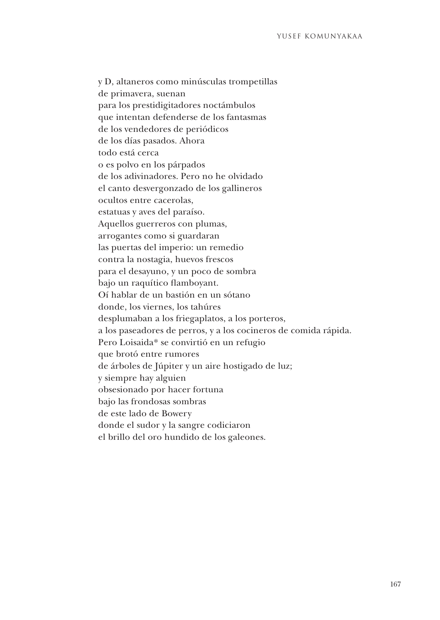y D, altaneros como minúsculas trompetillas de primavera, suenan para los prestidigitadores noctámbulos que intentan defenderse de los fantasmas de los vendedores de periódicos de los días pasados. Ahora todo está cerca o es polvo en los párpados de los adivinadores. Pero no he olvidado el canto desvergonzado de los gallineros ocultos entre cacerolas, estatuas y aves del paraíso. Aquellos guerreros con plumas, arrogantes como si guardaran las puertas del imperio: un remedio contra la nostagia, huevos frescos para el desayuno, y un poco de sombra bajo un raquítico flamboyant. Oí hablar de un bastión en un sótano donde, los viernes, los tahúres desplumaban a los friegaplatos, a los porteros, a los paseadores de perros, y a los cocineros de comida rápida. Pero Loisaida\* se convirtió en un refugio que brotó entre rumores de árboles de Júpiter y un aire hostigado de luz; y siempre hay alguien obsesionado por hacer fortuna bajo las frondosas sombras de este lado de Bowery donde el sudor y la sangre codiciaron el brillo del oro hundido de los galeones.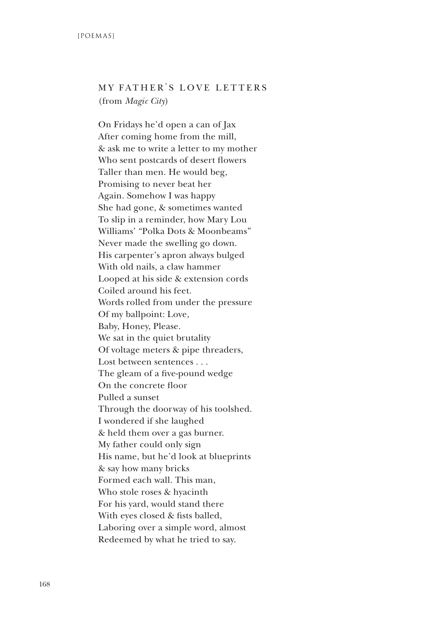### MY FATHER'S LOVE LETTERS (from *Magic City*)

On Fridays he'd open a can of Jax After coming home from the mill, & ask me to write a letter to my mother Who sent postcards of desert flowers Taller than men. He would beg, Promising to never beat her Again. Somehow I was happy She had gone, & sometimes wanted To slip in a reminder, how Mary Lou Williams' "Polka Dots & Moonbeams" Never made the swelling go down. His carpenter's apron always bulged With old nails, a claw hammer Looped at his side & extension cords Coiled around his feet. Words rolled from under the pressure Of my ballpoint: Love, Baby, Honey, Please. We sat in the quiet brutality Of voltage meters & pipe threaders, Lost between sentences . . . The gleam of a five-pound wedge On the concrete floor Pulled a sunset Through the doorway of his toolshed. I wondered if she laughed & held them over a gas burner. My father could only sign His name, but he'd look at blueprints & say how many bricks Formed each wall. This man, Who stole roses & hyacinth For his yard, would stand there With eyes closed & fists balled, Laboring over a simple word, almost Redeemed by what he tried to say.